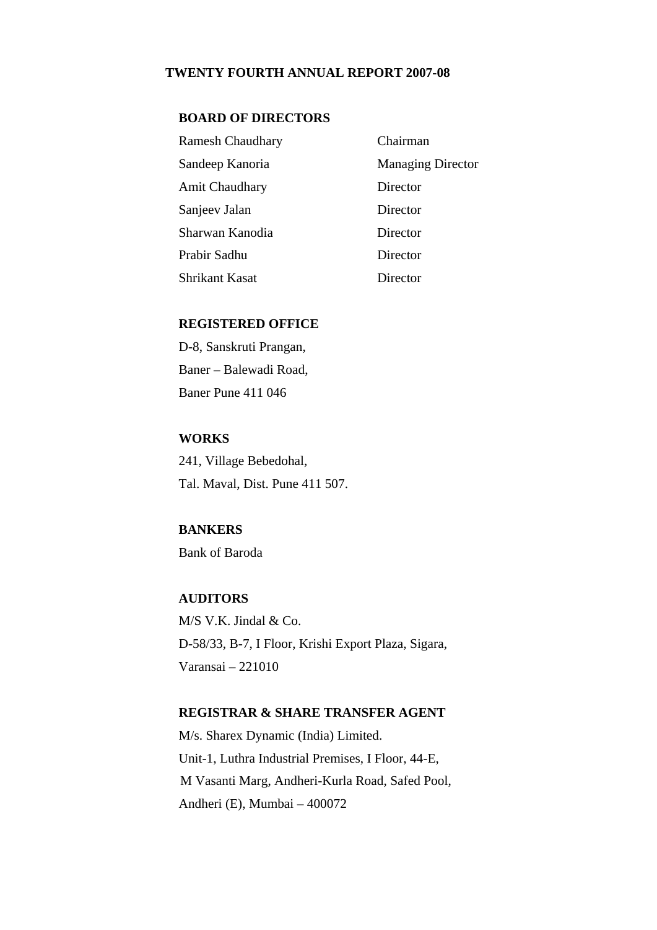#### **TWENTY FOURTH ANNUAL REPORT 2007-08**

#### **BOARD OF DIRECTORS**

| <b>Ramesh Chaudhary</b> | Chairman                 |
|-------------------------|--------------------------|
| Sandeep Kanoria         | <b>Managing Director</b> |
| <b>Amit Chaudhary</b>   | Director                 |
| Sanjeev Jalan           | Director                 |
| Sharwan Kanodia         | Director                 |
| Prabir Sadhu            | Director                 |
| Shrikant Kasat          | Director                 |

### **REGISTERED OFFICE**

D-8, Sanskruti Prangan, Baner – Balewadi Road, Baner Pune 411 046

### **WORKS**

241, Village Bebedohal, Tal. Maval, Dist. Pune 411 507.

# **BANKERS**

Bank of Baroda

# **AUDITORS**

M/S V.K. Jindal & Co. D-58/33, B-7, I Floor, Krishi Export Plaza, Sigara, Varansai – 221010

# **REGISTRAR & SHARE TRANSFER AGENT**

 M/s. Sharex Dynamic (India) Limited. Unit-1, Luthra Industrial Premises, I Floor, 44-E, M Vasanti Marg, Andheri-Kurla Road, Safed Pool, Andheri (E), Mumbai – 400072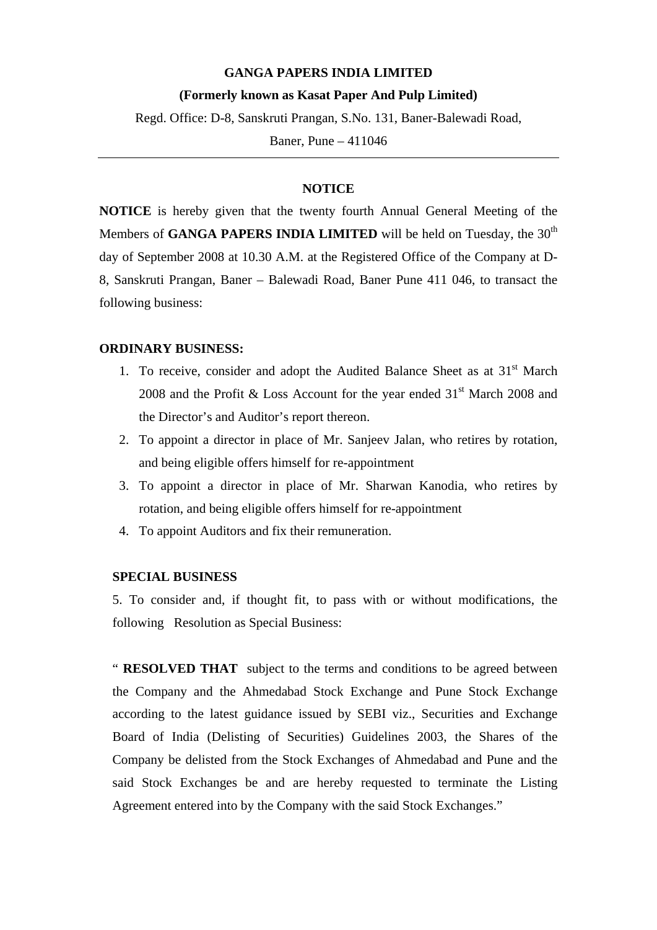#### **GANGA PAPERS INDIA LIMITED**

#### **(Formerly known as Kasat Paper And Pulp Limited)**

Regd. Office: D-8, Sanskruti Prangan, S.No. 131, Baner-Balewadi Road,

Baner, Pune – 411046

# **NOTICE**

**NOTICE** is hereby given that the twenty fourth Annual General Meeting of the Members of **GANGA PAPERS INDIA LIMITED** will be held on Tuesday, the  $30<sup>th</sup>$ day of September 2008 at 10.30 A.M. at the Registered Office of the Company at D-8, Sanskruti Prangan, Baner – Balewadi Road, Baner Pune 411 046, to transact the following business:

#### **ORDINARY BUSINESS:**

- 1. To receive, consider and adopt the Audited Balance Sheet as at  $31<sup>st</sup>$  March 2008 and the Profit & Loss Account for the year ended  $31<sup>st</sup>$  March 2008 and the Director's and Auditor's report thereon.
- 2. To appoint a director in place of Mr. Sanjeev Jalan, who retires by rotation, and being eligible offers himself for re-appointment
- 3. To appoint a director in place of Mr. Sharwan Kanodia, who retires by rotation, and being eligible offers himself for re-appointment
- 4. To appoint Auditors and fix their remuneration.

#### **SPECIAL BUSINESS**

5. To consider and, if thought fit, to pass with or without modifications, the following Resolution as Special Business:

" **RESOLVED THAT** subject to the terms and conditions to be agreed between the Company and the Ahmedabad Stock Exchange and Pune Stock Exchange according to the latest guidance issued by SEBI viz., Securities and Exchange Board of India (Delisting of Securities) Guidelines 2003, the Shares of the Company be delisted from the Stock Exchanges of Ahmedabad and Pune and the said Stock Exchanges be and are hereby requested to terminate the Listing Agreement entered into by the Company with the said Stock Exchanges."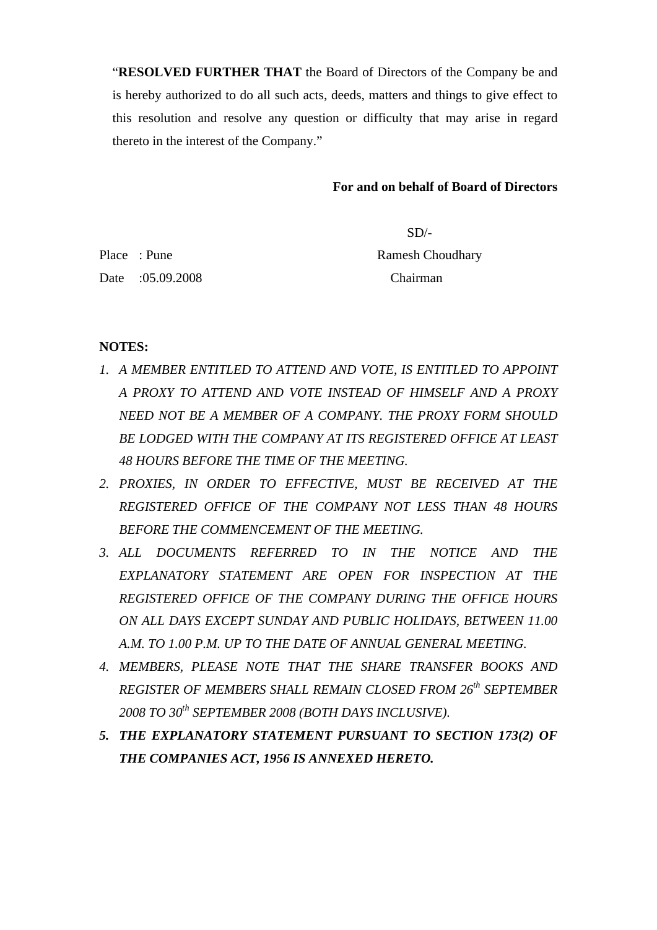"**RESOLVED FURTHER THAT** the Board of Directors of the Company be and is hereby authorized to do all such acts, deeds, matters and things to give effect to this resolution and resolve any question or difficulty that may arise in regard thereto in the interest of the Company."

# **For and on behalf of Board of Directors**

 SD/- Place : Pune Ramesh Choudhary Date :05.09.2008 Chairman

# **NOTES:**

- *1. A MEMBER ENTITLED TO ATTEND AND VOTE, IS ENTITLED TO APPOINT A PROXY TO ATTEND AND VOTE INSTEAD OF HIMSELF AND A PROXY NEED NOT BE A MEMBER OF A COMPANY. THE PROXY FORM SHOULD BE LODGED WITH THE COMPANY AT ITS REGISTERED OFFICE AT LEAST 48 HOURS BEFORE THE TIME OF THE MEETING.*
- *2. PROXIES, IN ORDER TO EFFECTIVE, MUST BE RECEIVED AT THE REGISTERED OFFICE OF THE COMPANY NOT LESS THAN 48 HOURS BEFORE THE COMMENCEMENT OF THE MEETING.*
- *3. ALL DOCUMENTS REFERRED TO IN THE NOTICE AND THE EXPLANATORY STATEMENT ARE OPEN FOR INSPECTION AT THE REGISTERED OFFICE OF THE COMPANY DURING THE OFFICE HOURS ON ALL DAYS EXCEPT SUNDAY AND PUBLIC HOLIDAYS, BETWEEN 11.00 A.M. TO 1.00 P.M. UP TO THE DATE OF ANNUAL GENERAL MEETING.*
- *4. MEMBERS, PLEASE NOTE THAT THE SHARE TRANSFER BOOKS AND REGISTER OF MEMBERS SHALL REMAIN CLOSED FROM 26th SEPTEMBER 2008 TO 30th SEPTEMBER 2008 (BOTH DAYS INCLUSIVE).*
- *5. THE EXPLANATORY STATEMENT PURSUANT TO SECTION 173(2) OF THE COMPANIES ACT, 1956 IS ANNEXED HERETO.*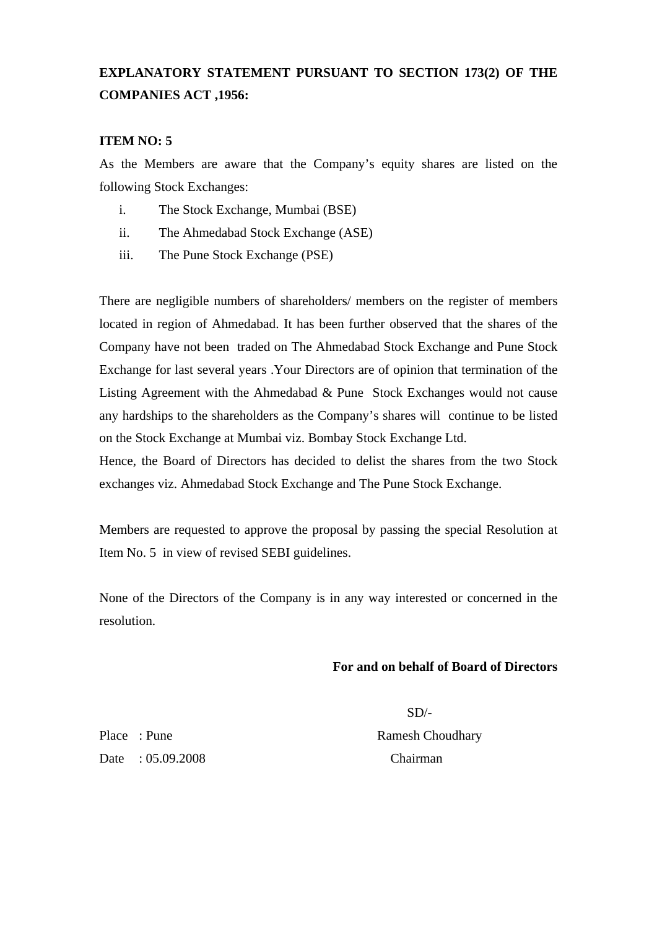# **EXPLANATORY STATEMENT PURSUANT TO SECTION 173(2) OF THE COMPANIES ACT ,1956:**

## **ITEM NO: 5**

As the Members are aware that the Company's equity shares are listed on the following Stock Exchanges:

- i. The Stock Exchange, Mumbai (BSE)
- ii. The Ahmedabad Stock Exchange (ASE)
- iii. The Pune Stock Exchange (PSE)

There are negligible numbers of shareholders/ members on the register of members located in region of Ahmedabad. It has been further observed that the shares of the Company have not been traded on The Ahmedabad Stock Exchange and Pune Stock Exchange for last several years .Your Directors are of opinion that termination of the Listing Agreement with the Ahmedabad & Pune Stock Exchanges would not cause any hardships to the shareholders as the Company's shares will continue to be listed on the Stock Exchange at Mumbai viz. Bombay Stock Exchange Ltd.

Hence, the Board of Directors has decided to delist the shares from the two Stock exchanges viz. Ahmedabad Stock Exchange and The Pune Stock Exchange.

Members are requested to approve the proposal by passing the special Resolution at Item No. 5 in view of revised SEBI guidelines.

None of the Directors of the Company is in any way interested or concerned in the resolution.

#### **For and on behalf of Board of Directors**

Place : Pune Ramesh Choudhary Date : 05.09.2008 Chairman

SD/-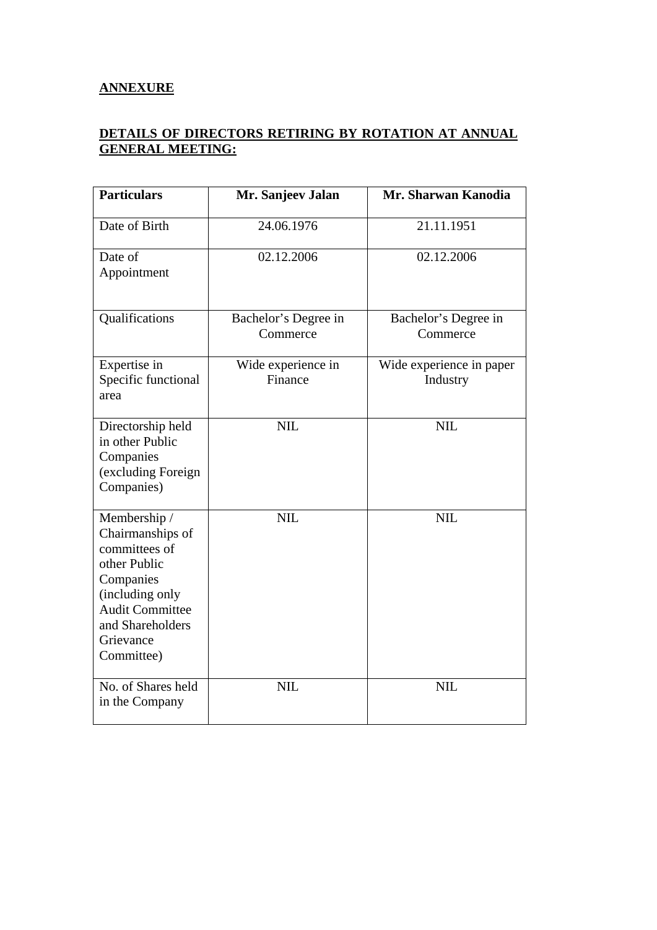# **ANNEXURE**

# **DETAILS OF DIRECTORS RETIRING BY ROTATION AT ANNUAL GENERAL MEETING:**

| <b>Particulars</b>                                                                                                                                                         | Mr. Sanjeev Jalan                | Mr. Sharwan Kanodia                  |
|----------------------------------------------------------------------------------------------------------------------------------------------------------------------------|----------------------------------|--------------------------------------|
| Date of Birth                                                                                                                                                              | 24.06.1976                       | 21.11.1951                           |
| Date of<br>Appointment                                                                                                                                                     | 02.12.2006                       | 02.12.2006                           |
| Qualifications                                                                                                                                                             | Bachelor's Degree in<br>Commerce | Bachelor's Degree in<br>Commerce     |
| Expertise in<br>Specific functional<br>area                                                                                                                                | Wide experience in<br>Finance    | Wide experience in paper<br>Industry |
| Directorship held<br>in other Public<br>Companies<br>(excluding Foreign<br>Companies)                                                                                      | <b>NIL</b>                       | <b>NIL</b>                           |
| Membership /<br>Chairmanships of<br>committees of<br>other Public<br>Companies<br>(including only<br><b>Audit Committee</b><br>and Shareholders<br>Grievance<br>Committee) | <b>NIL</b>                       | <b>NIL</b>                           |
| No. of Shares held<br>in the Company                                                                                                                                       | <b>NIL</b>                       | <b>NIL</b>                           |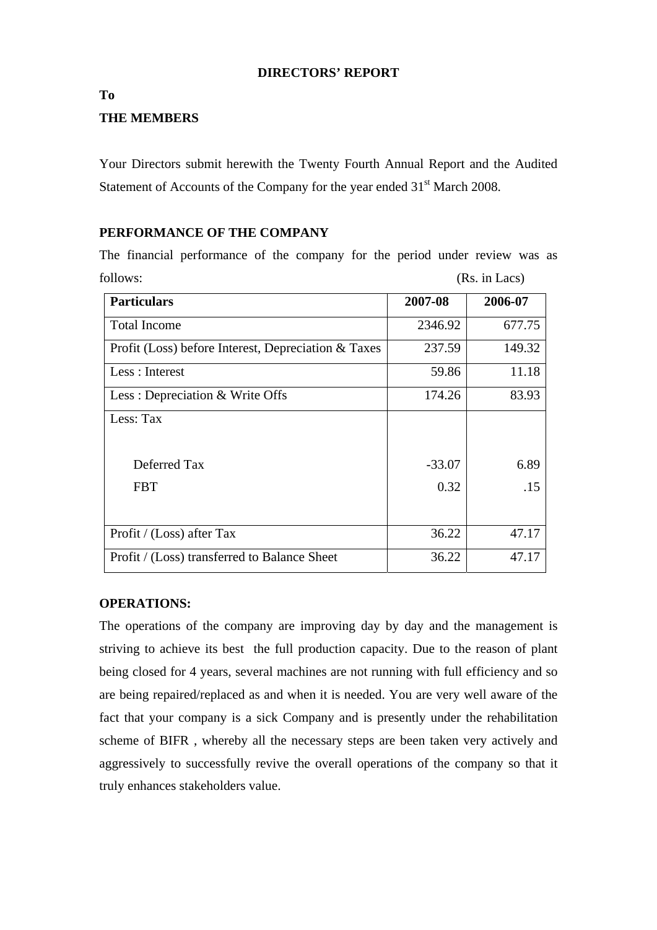## **DIRECTORS' REPORT**

#### **To**

# **THE MEMBERS**

Your Directors submit herewith the Twenty Fourth Annual Report and the Audited Statement of Accounts of the Company for the year ended  $31<sup>st</sup>$  March 2008.

# **PERFORMANCE OF THE COMPANY**

The financial performance of the company for the period under review was as follows: (Rs. in Lacs)

| <b>Particulars</b>                                  | 2007-08  | 2006-07 |
|-----------------------------------------------------|----------|---------|
|                                                     |          |         |
| <b>Total Income</b>                                 | 2346.92  | 677.75  |
| Profit (Loss) before Interest, Depreciation & Taxes | 237.59   | 149.32  |
| Less : Interest                                     | 59.86    | 11.18   |
| Less: Depreciation & Write Offs                     | 174.26   | 83.93   |
| Less: Tax                                           |          |         |
|                                                     |          |         |
| Deferred Tax                                        | $-33.07$ | 6.89    |
| <b>FBT</b>                                          | 0.32     | .15     |
|                                                     |          |         |
| Profit / (Loss) after Tax                           | 36.22    | 47.17   |
| Profit / (Loss) transferred to Balance Sheet        | 36.22    | 47.17   |

#### **OPERATIONS:**

The operations of the company are improving day by day and the management is striving to achieve its best the full production capacity. Due to the reason of plant being closed for 4 years, several machines are not running with full efficiency and so are being repaired/replaced as and when it is needed. You are very well aware of the fact that your company is a sick Company and is presently under the rehabilitation scheme of BIFR , whereby all the necessary steps are been taken very actively and aggressively to successfully revive the overall operations of the company so that it truly enhances stakeholders value.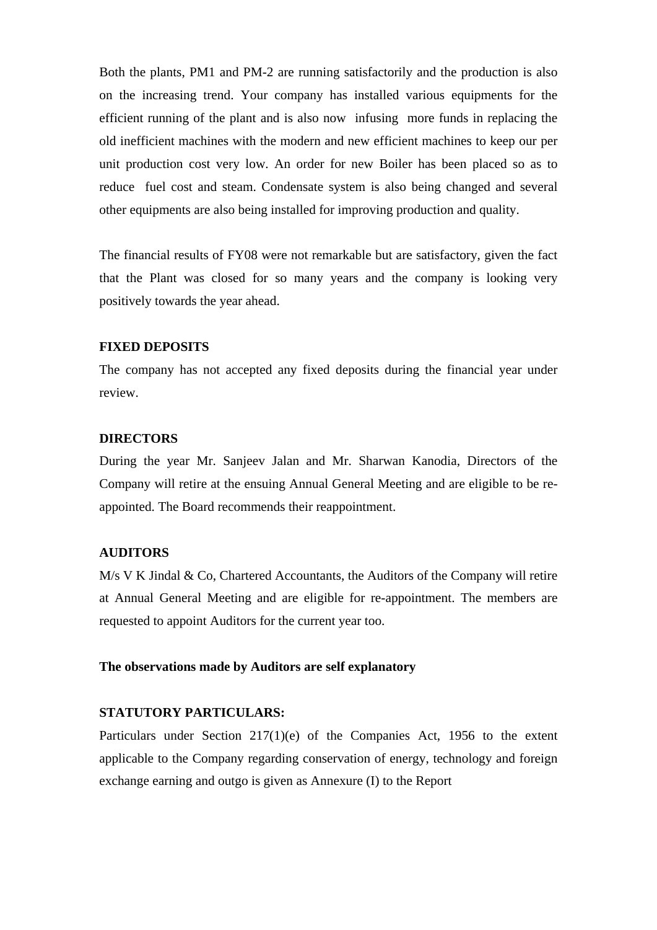Both the plants, PM1 and PM-2 are running satisfactorily and the production is also on the increasing trend. Your company has installed various equipments for the efficient running of the plant and is also now infusing more funds in replacing the old inefficient machines with the modern and new efficient machines to keep our per unit production cost very low. An order for new Boiler has been placed so as to reduce fuel cost and steam. Condensate system is also being changed and several other equipments are also being installed for improving production and quality.

The financial results of FY08 were not remarkable but are satisfactory, given the fact that the Plant was closed for so many years and the company is looking very positively towards the year ahead.

#### **FIXED DEPOSITS**

The company has not accepted any fixed deposits during the financial year under review.

#### **DIRECTORS**

During the year Mr. Sanjeev Jalan and Mr. Sharwan Kanodia, Directors of the Company will retire at the ensuing Annual General Meeting and are eligible to be reappointed. The Board recommends their reappointment.

#### **AUDITORS**

M/s V K Jindal & Co, Chartered Accountants, the Auditors of the Company will retire at Annual General Meeting and are eligible for re-appointment. The members are requested to appoint Auditors for the current year too.

#### **The observations made by Auditors are self explanatory**

#### **STATUTORY PARTICULARS:**

Particulars under Section 217(1)(e) of the Companies Act, 1956 to the extent applicable to the Company regarding conservation of energy, technology and foreign exchange earning and outgo is given as Annexure (I) to the Report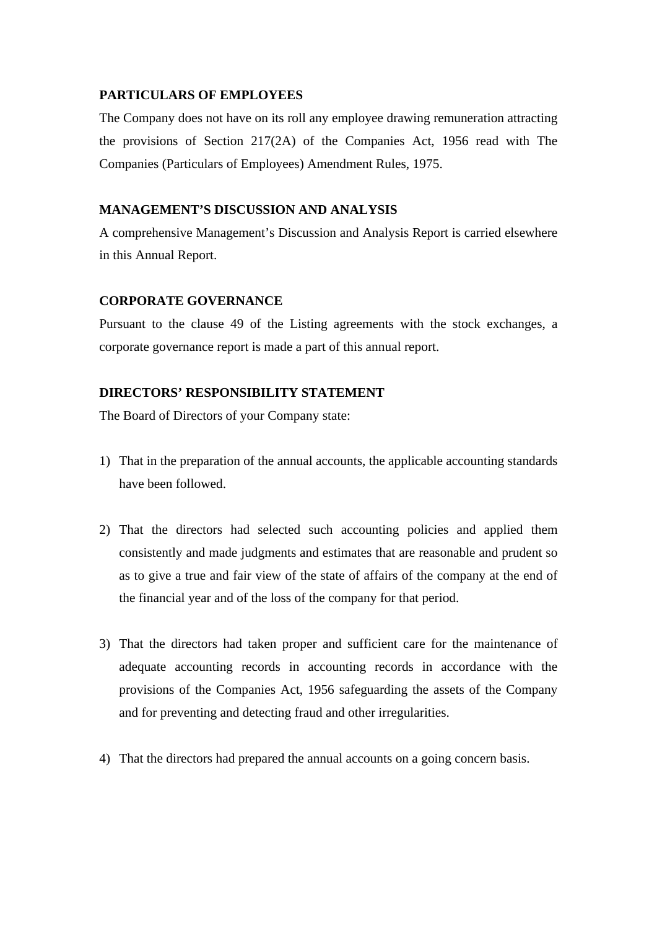# **PARTICULARS OF EMPLOYEES**

The Company does not have on its roll any employee drawing remuneration attracting the provisions of Section 217(2A) of the Companies Act, 1956 read with The Companies (Particulars of Employees) Amendment Rules, 1975.

# **MANAGEMENT'S DISCUSSION AND ANALYSIS**

A comprehensive Management's Discussion and Analysis Report is carried elsewhere in this Annual Report.

# **CORPORATE GOVERNANCE**

Pursuant to the clause 49 of the Listing agreements with the stock exchanges, a corporate governance report is made a part of this annual report.

# **DIRECTORS' RESPONSIBILITY STATEMENT**

The Board of Directors of your Company state:

- 1) That in the preparation of the annual accounts, the applicable accounting standards have been followed.
- 2) That the directors had selected such accounting policies and applied them consistently and made judgments and estimates that are reasonable and prudent so as to give a true and fair view of the state of affairs of the company at the end of the financial year and of the loss of the company for that period.
- 3) That the directors had taken proper and sufficient care for the maintenance of adequate accounting records in accounting records in accordance with the provisions of the Companies Act, 1956 safeguarding the assets of the Company and for preventing and detecting fraud and other irregularities.
- 4) That the directors had prepared the annual accounts on a going concern basis.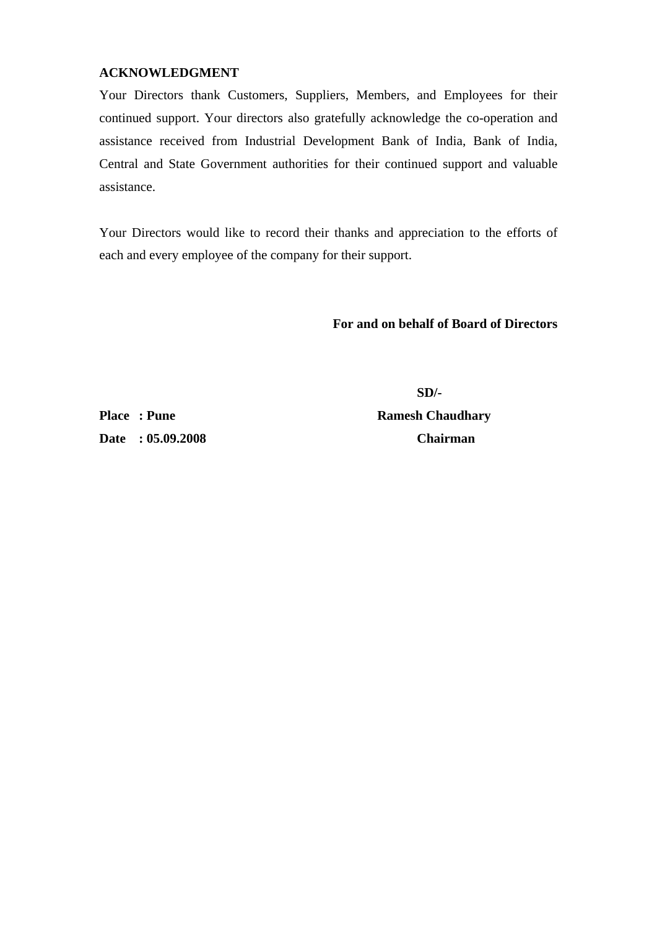# **ACKNOWLEDGMENT**

Your Directors thank Customers, Suppliers, Members, and Employees for their continued support. Your directors also gratefully acknowledge the co-operation and assistance received from Industrial Development Bank of India, Bank of India, Central and State Government authorities for their continued support and valuable assistance.

Your Directors would like to record their thanks and appreciation to the efforts of each and every employee of the company for their support.

# **For and on behalf of Board of Directors**

**Date : 05.09.2008 Chairman** 

 **SD/- Place : Pune Ramesh Chaudhary Ramesh Chaudhary**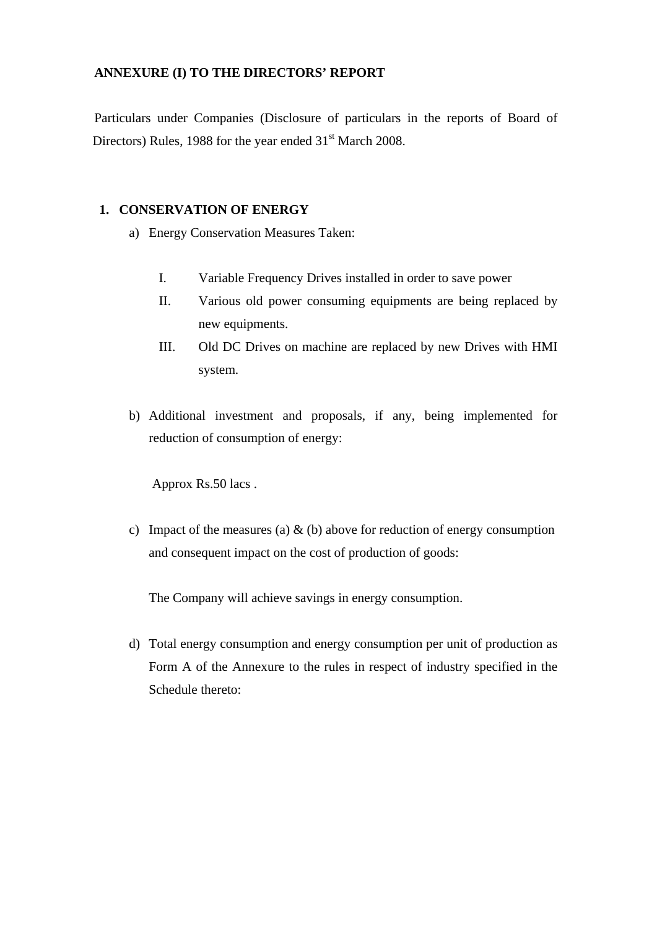# **ANNEXURE (I) TO THE DIRECTORS' REPORT**

Particulars under Companies (Disclosure of particulars in the reports of Board of Directors) Rules, 1988 for the year ended 31<sup>st</sup> March 2008.

## **1. CONSERVATION OF ENERGY**

- a) Energy Conservation Measures Taken:
	- I. Variable Frequency Drives installed in order to save power
	- II. Various old power consuming equipments are being replaced by new equipments.
	- III. Old DC Drives on machine are replaced by new Drives with HMI system.
- b) Additional investment and proposals, if any, being implemented for reduction of consumption of energy:

Approx Rs.50 lacs .

c) Impact of the measures (a)  $\&$  (b) above for reduction of energy consumption and consequent impact on the cost of production of goods:

The Company will achieve savings in energy consumption.

d) Total energy consumption and energy consumption per unit of production as Form A of the Annexure to the rules in respect of industry specified in the Schedule thereto: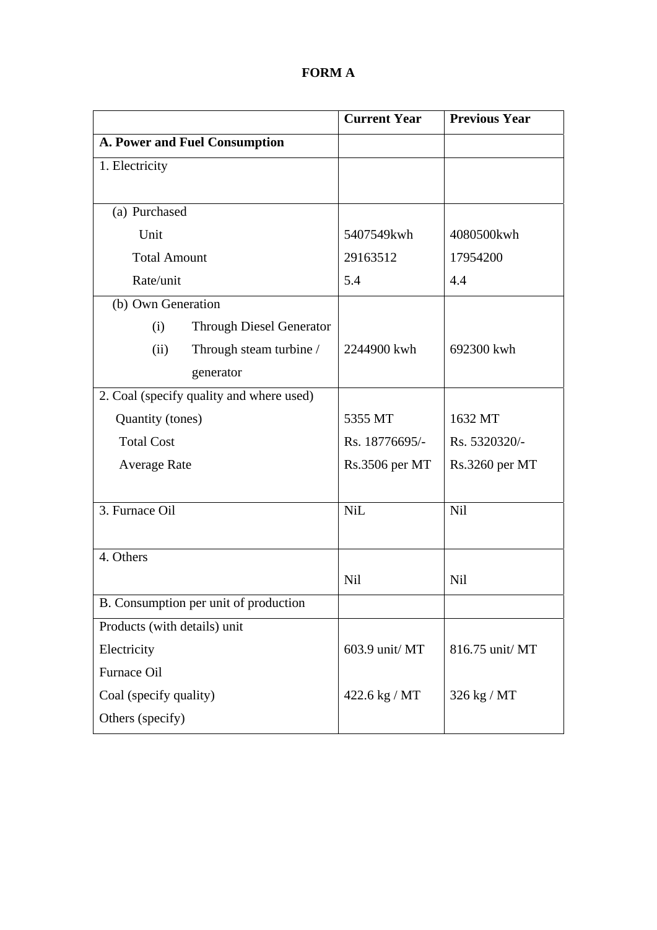# **FORM A**

|                                          | <b>Current Year</b> | <b>Previous Year</b> |
|------------------------------------------|---------------------|----------------------|
| <b>A. Power and Fuel Consumption</b>     |                     |                      |
| 1. Electricity                           |                     |                      |
|                                          |                     |                      |
| (a) Purchased                            |                     |                      |
| Unit                                     | 5407549kwh          | 4080500kwh           |
| <b>Total Amount</b>                      | 29163512            | 17954200             |
| Rate/unit                                | 5.4                 | 4.4                  |
| (b) Own Generation                       |                     |                      |
| <b>Through Diesel Generator</b><br>(i)   |                     |                      |
| (ii)<br>Through steam turbine /          | 2244900 kwh         | 692300 kwh           |
| generator                                |                     |                      |
| 2. Coal (specify quality and where used) |                     |                      |
| Quantity (tones)                         | 5355 MT             | 1632 MT              |
| <b>Total Cost</b>                        | Rs. 18776695/-      | Rs. 5320320/-        |
| <b>Average Rate</b>                      | Rs.3506 per MT      | Rs.3260 per MT       |
|                                          |                     |                      |
| 3. Furnace Oil                           | <b>NiL</b>          | Nil                  |
|                                          |                     |                      |
| 4. Others                                |                     |                      |
|                                          | Nil                 | <b>Nil</b>           |
| B. Consumption per unit of production    |                     |                      |
| Products (with details) unit             |                     |                      |
| Electricity                              | 603.9 unit/MT       | 816.75 unit/ MT      |
| Furnace Oil                              |                     |                      |
| Coal (specify quality)                   | 422.6 kg / MT       | 326 kg / MT          |
| Others (specify)                         |                     |                      |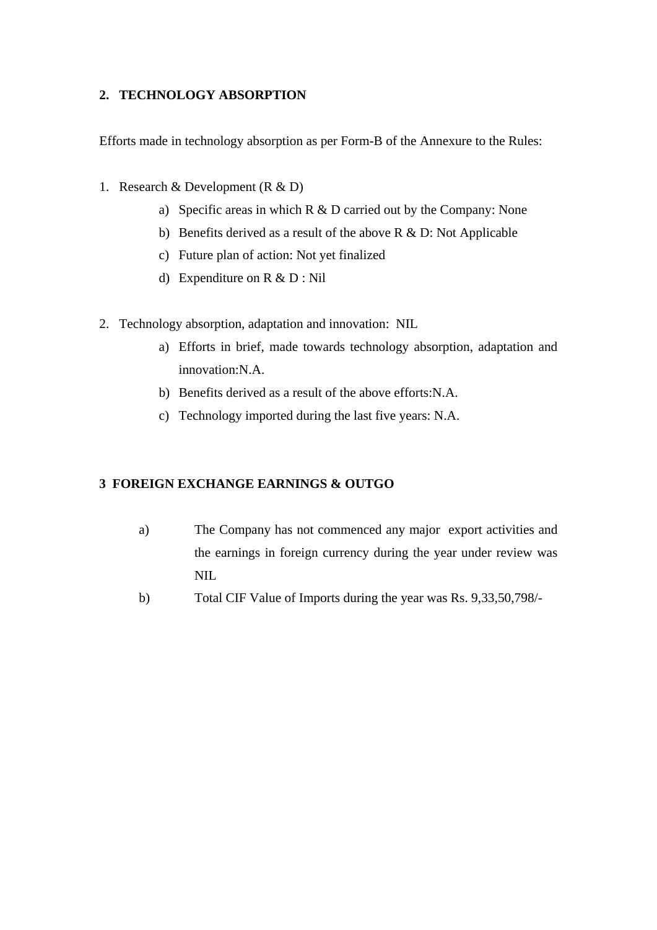# **2. TECHNOLOGY ABSORPTION**

Efforts made in technology absorption as per Form-B of the Annexure to the Rules:

- 1. Research & Development  $(R & D)$ 
	- a) Specific areas in which R & D carried out by the Company: None
	- b) Benefits derived as a result of the above R & D: Not Applicable
	- c) Future plan of action: Not yet finalized
	- d) Expenditure on R & D : Nil
- 2. Technology absorption, adaptation and innovation: NIL
	- a) Efforts in brief, made towards technology absorption, adaptation and innovation:N.A.
	- b) Benefits derived as a result of the above efforts:N.A.
	- c) Technology imported during the last five years: N.A.

# **3 FOREIGN EXCHANGE EARNINGS & OUTGO**

- a) The Company has not commenced any major export activities and the earnings in foreign currency during the year under review was NIL
- b) Total CIF Value of Imports during the year was Rs. 9,33,50,798/-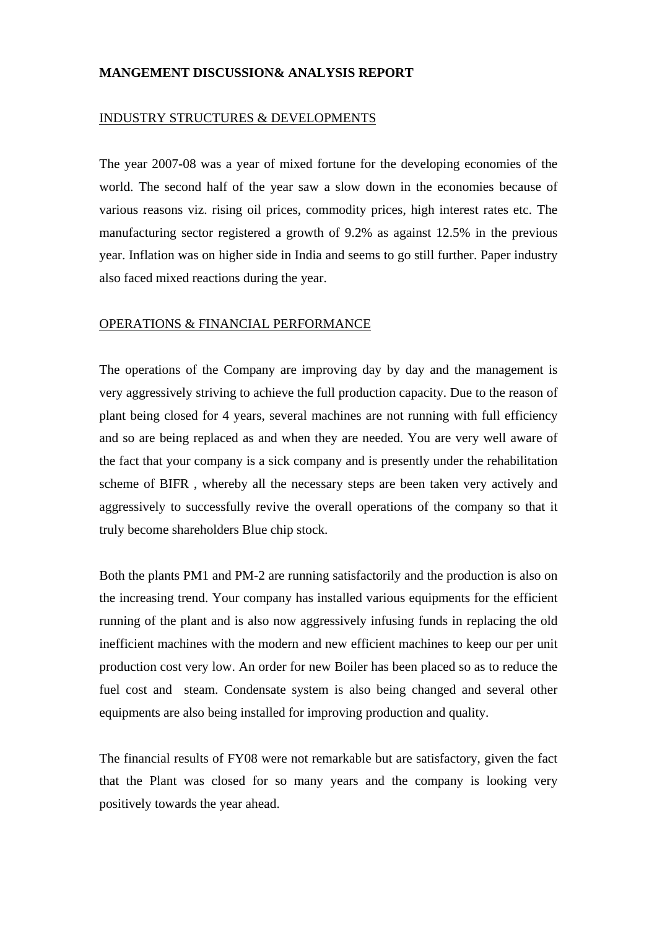# **MANGEMENT DISCUSSION& ANALYSIS REPORT**

#### INDUSTRY STRUCTURES & DEVELOPMENTS

The year 2007-08 was a year of mixed fortune for the developing economies of the world. The second half of the year saw a slow down in the economies because of various reasons viz. rising oil prices, commodity prices, high interest rates etc. The manufacturing sector registered a growth of 9.2% as against 12.5% in the previous year. Inflation was on higher side in India and seems to go still further. Paper industry also faced mixed reactions during the year.

#### OPERATIONS & FINANCIAL PERFORMANCE

The operations of the Company are improving day by day and the management is very aggressively striving to achieve the full production capacity. Due to the reason of plant being closed for 4 years, several machines are not running with full efficiency and so are being replaced as and when they are needed. You are very well aware of the fact that your company is a sick company and is presently under the rehabilitation scheme of BIFR , whereby all the necessary steps are been taken very actively and aggressively to successfully revive the overall operations of the company so that it truly become shareholders Blue chip stock.

Both the plants PM1 and PM-2 are running satisfactorily and the production is also on the increasing trend. Your company has installed various equipments for the efficient running of the plant and is also now aggressively infusing funds in replacing the old inefficient machines with the modern and new efficient machines to keep our per unit production cost very low. An order for new Boiler has been placed so as to reduce the fuel cost and steam. Condensate system is also being changed and several other equipments are also being installed for improving production and quality.

The financial results of FY08 were not remarkable but are satisfactory, given the fact that the Plant was closed for so many years and the company is looking very positively towards the year ahead.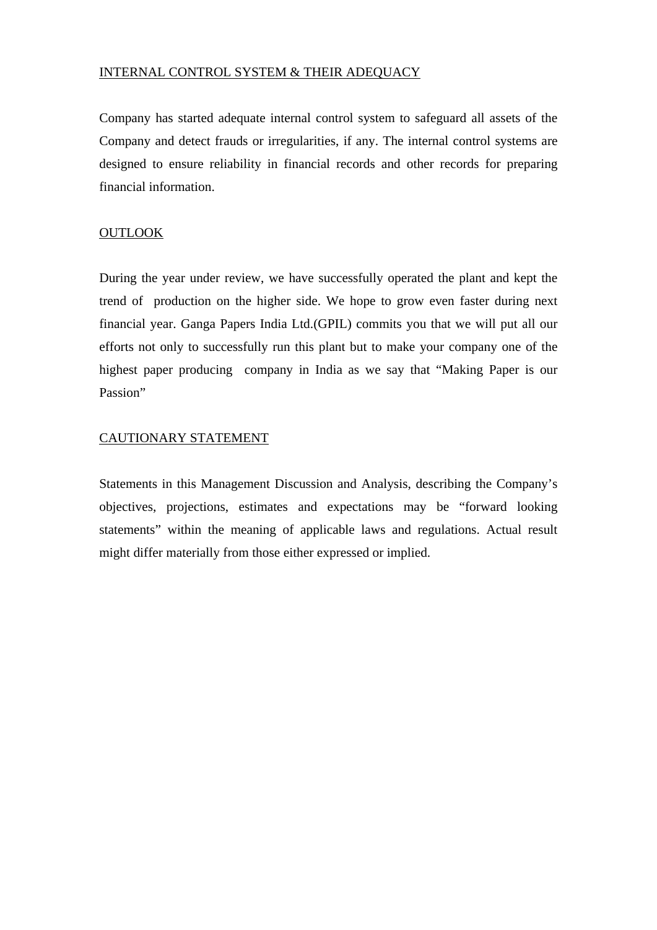# INTERNAL CONTROL SYSTEM & THEIR ADEQUACY

Company has started adequate internal control system to safeguard all assets of the Company and detect frauds or irregularities, if any. The internal control systems are designed to ensure reliability in financial records and other records for preparing financial information.

# **OUTLOOK**

During the year under review, we have successfully operated the plant and kept the trend of production on the higher side. We hope to grow even faster during next financial year. Ganga Papers India Ltd.(GPIL) commits you that we will put all our efforts not only to successfully run this plant but to make your company one of the highest paper producing company in India as we say that "Making Paper is our Passion"

# CAUTIONARY STATEMENT

Statements in this Management Discussion and Analysis, describing the Company's objectives, projections, estimates and expectations may be "forward looking statements" within the meaning of applicable laws and regulations. Actual result might differ materially from those either expressed or implied.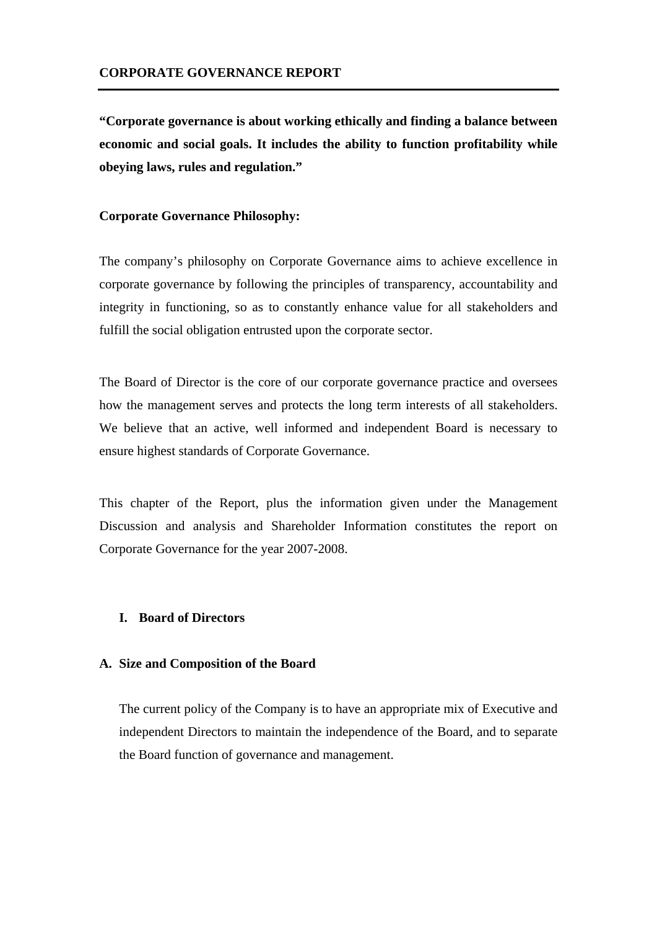**"Corporate governance is about working ethically and finding a balance between economic and social goals. It includes the ability to function profitability while obeying laws, rules and regulation."** 

#### **Corporate Governance Philosophy:**

The company's philosophy on Corporate Governance aims to achieve excellence in corporate governance by following the principles of transparency, accountability and integrity in functioning, so as to constantly enhance value for all stakeholders and fulfill the social obligation entrusted upon the corporate sector.

The Board of Director is the core of our corporate governance practice and oversees how the management serves and protects the long term interests of all stakeholders. We believe that an active, well informed and independent Board is necessary to ensure highest standards of Corporate Governance.

This chapter of the Report, plus the information given under the Management Discussion and analysis and Shareholder Information constitutes the report on Corporate Governance for the year 2007-2008.

#### **I. Board of Directors**

#### **A. Size and Composition of the Board**

The current policy of the Company is to have an appropriate mix of Executive and independent Directors to maintain the independence of the Board, and to separate the Board function of governance and management.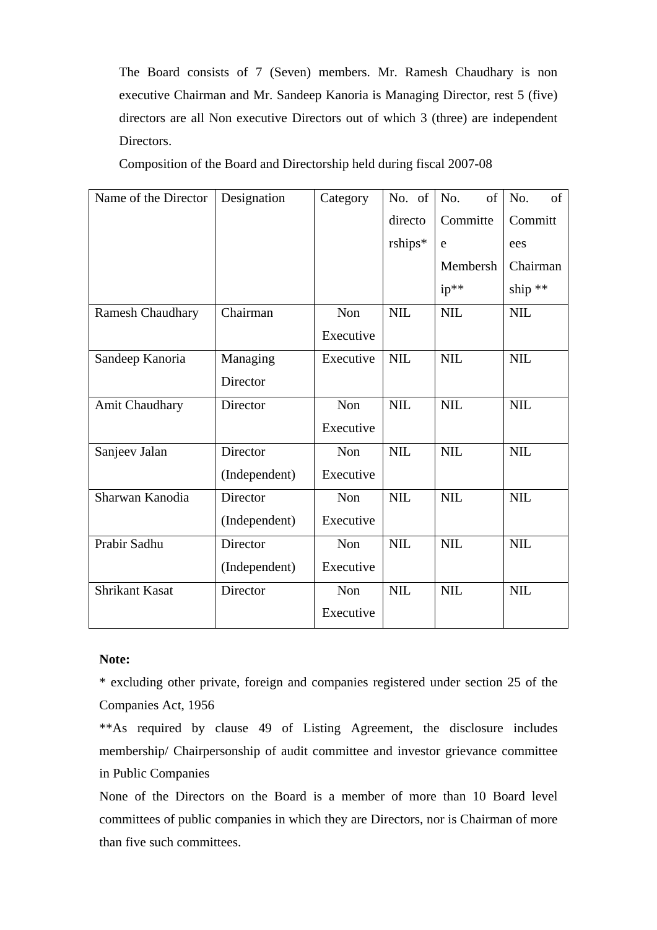The Board consists of 7 (Seven) members. Mr. Ramesh Chaudhary is non executive Chairman and Mr. Sandeep Kanoria is Managing Director, rest 5 (five) directors are all Non executive Directors out of which 3 (three) are independent Directors.

Composition of the Board and Directorship held during fiscal 2007-08

| Name of the Director    | Designation   | Category  | No. of     | No.<br>of    | $\sigma$<br>No. |
|-------------------------|---------------|-----------|------------|--------------|-----------------|
|                         |               |           | directo    | Committe     | Committ         |
|                         |               |           | $rships*$  | e            | ees             |
|                         |               |           |            | Membersh     | Chairman        |
|                         |               |           |            | ip**         | ship **         |
| <b>Ramesh Chaudhary</b> | Chairman      | Non       | <b>NIL</b> | $\text{NIL}$ | <b>NIL</b>      |
|                         |               | Executive |            |              |                 |
| Sandeep Kanoria         | Managing      | Executive | NIL        | <b>NIL</b>   | <b>NIL</b>      |
|                         | Director      |           |            |              |                 |
| Amit Chaudhary          | Director      | Non       | $NIL$      | NIL          | <b>NIL</b>      |
|                         |               | Executive |            |              |                 |
| Sanjeev Jalan           | Director      | Non       | <b>NIL</b> | <b>NIL</b>   | <b>NIL</b>      |
|                         | (Independent) | Executive |            |              |                 |
| Sharwan Kanodia         | Director      | Non       | $NIL$      | <b>NIL</b>   | <b>NIL</b>      |
|                         | (Independent) | Executive |            |              |                 |
| Prabir Sadhu            | Director      | Non       | <b>NIL</b> | <b>NIL</b>   | <b>NIL</b>      |
|                         | (Independent) | Executive |            |              |                 |
| <b>Shrikant Kasat</b>   | Director      | Non       | <b>NIL</b> | <b>NIL</b>   | <b>NIL</b>      |
|                         |               | Executive |            |              |                 |

#### **Note:**

\* excluding other private, foreign and companies registered under section 25 of the Companies Act, 1956

\*\*As required by clause 49 of Listing Agreement, the disclosure includes membership/ Chairpersonship of audit committee and investor grievance committee in Public Companies

None of the Directors on the Board is a member of more than 10 Board level committees of public companies in which they are Directors, nor is Chairman of more than five such committees.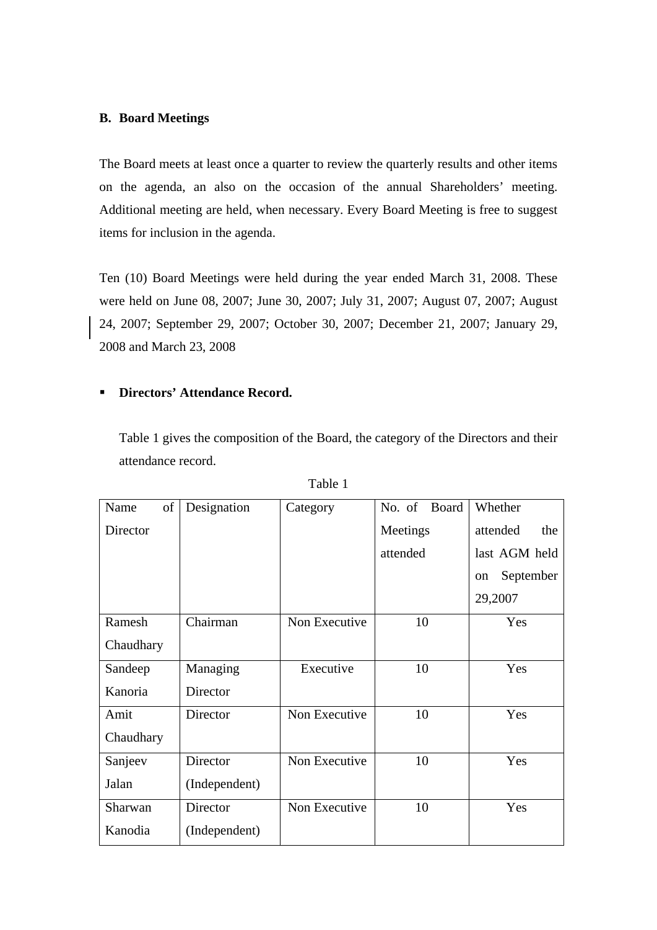#### **B. Board Meetings**

The Board meets at least once a quarter to review the quarterly results and other items on the agenda, an also on the occasion of the annual Shareholders' meeting. Additional meeting are held, when necessary. Every Board Meeting is free to suggest items for inclusion in the agenda.

Ten (10) Board Meetings were held during the year ended March 31, 2008. These were held on June 08, 2007; June 30, 2007; July 31, 2007; August 07, 2007; August 24, 2007; September 29, 2007; October 30, 2007; December 21, 2007; January 29, 2008 and March 23, 2008

#### **Directors' Attendance Record.**

Table 1 gives the composition of the Board, the category of the Directors and their attendance record.

| of<br>Name | Designation   | Category      | Board<br>No. of | Whether                    |
|------------|---------------|---------------|-----------------|----------------------------|
| Director   |               |               | Meetings        | attended<br>the            |
|            |               |               | attended        | last AGM held              |
|            |               |               |                 | September<br><sub>on</sub> |
|            |               |               |                 | 29,2007                    |
| Ramesh     | Chairman      | Non Executive | 10              | Yes                        |
| Chaudhary  |               |               |                 |                            |
| Sandeep    | Managing      | Executive     | 10              | Yes                        |
| Kanoria    | Director      |               |                 |                            |
| Amit       | Director      | Non Executive | 10              | Yes                        |
| Chaudhary  |               |               |                 |                            |
| Sanjeev    | Director      | Non Executive | 10              | Yes                        |
| Jalan      | (Independent) |               |                 |                            |
| Sharwan    | Director      | Non Executive | 10              | Yes                        |
| Kanodia    | (Independent) |               |                 |                            |

| 1 I D |  |
|-------|--|
|-------|--|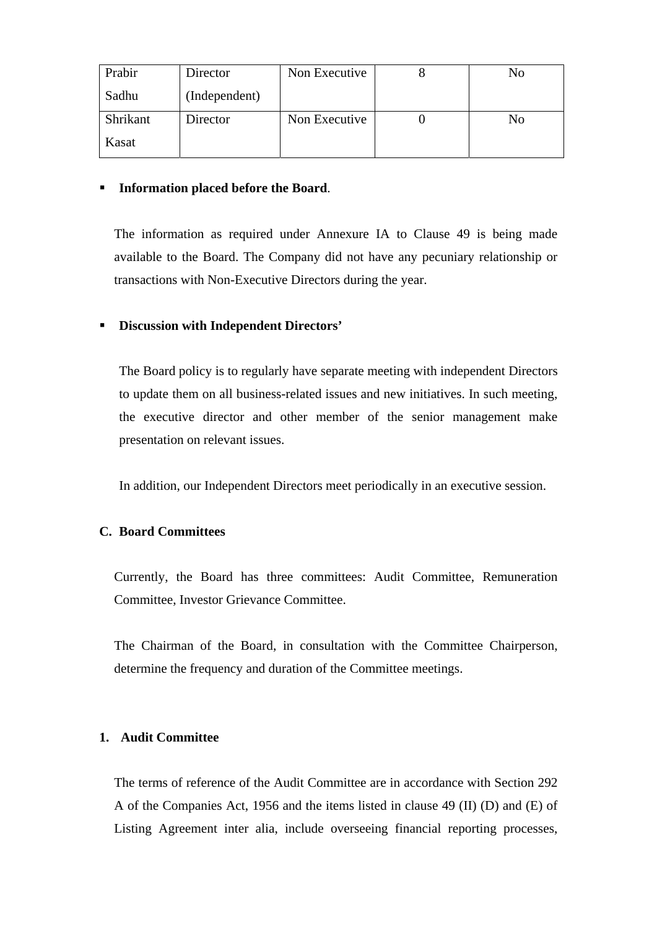| Prabir   | Director      | Non Executive | No |
|----------|---------------|---------------|----|
| Sadhu    | (Independent) |               |    |
| Shrikant | Director      | Non Executive | No |
| Kasat    |               |               |    |

## **Information placed before the Board**.

 The information as required under Annexure IA to Clause 49 is being made available to the Board. The Company did not have any pecuniary relationship or transactions with Non-Executive Directors during the year.

# **Discussion with Independent Directors'**

The Board policy is to regularly have separate meeting with independent Directors to update them on all business-related issues and new initiatives. In such meeting, the executive director and other member of the senior management make presentation on relevant issues.

In addition, our Independent Directors meet periodically in an executive session.

# **C. Board Committees**

 Currently, the Board has three committees: Audit Committee, Remuneration Committee, Investor Grievance Committee.

 The Chairman of the Board, in consultation with the Committee Chairperson, determine the frequency and duration of the Committee meetings.

# **1. Audit Committee**

 The terms of reference of the Audit Committee are in accordance with Section 292 A of the Companies Act, 1956 and the items listed in clause 49 (II) (D) and (E) of Listing Agreement inter alia, include overseeing financial reporting processes,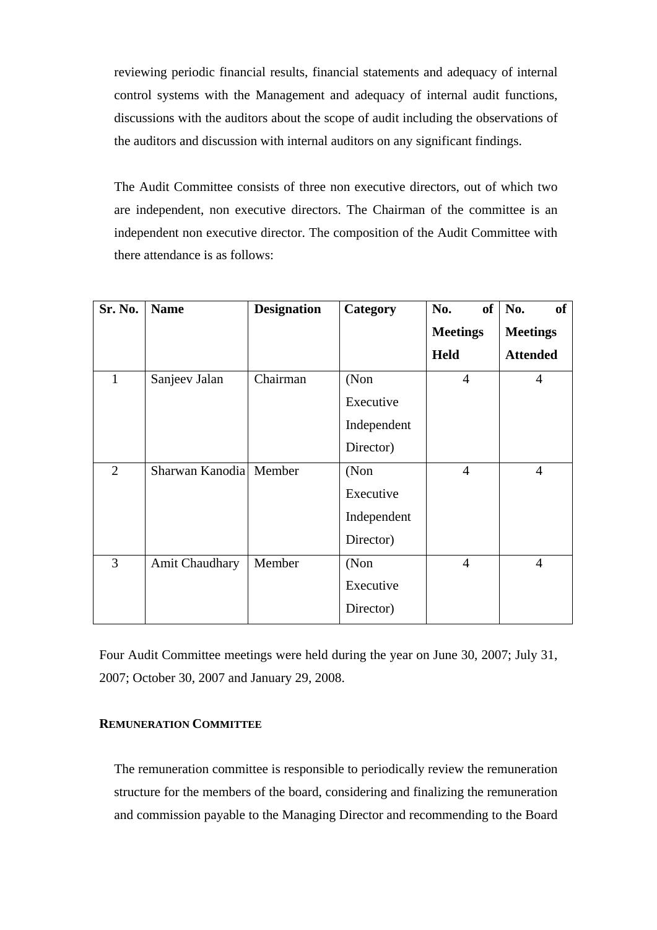reviewing periodic financial results, financial statements and adequacy of internal control systems with the Management and adequacy of internal audit functions, discussions with the auditors about the scope of audit including the observations of the auditors and discussion with internal auditors on any significant findings.

 The Audit Committee consists of three non executive directors, out of which two are independent, non executive directors. The Chairman of the committee is an independent non executive director. The composition of the Audit Committee with there attendance is as follows:

| Sr. No.        | <b>Name</b>            | <b>Designation</b> | Category    | No.             | of $\vert$ No.<br>of |
|----------------|------------------------|--------------------|-------------|-----------------|----------------------|
|                |                        |                    |             | <b>Meetings</b> | <b>Meetings</b>      |
|                |                        |                    |             | <b>Held</b>     | <b>Attended</b>      |
| $\mathbf{1}$   | Sanjeev Jalan          | Chairman           | (Non        | $\overline{4}$  | $\overline{4}$       |
|                |                        |                    | Executive   |                 |                      |
|                |                        |                    | Independent |                 |                      |
|                |                        |                    | Director)   |                 |                      |
| $\overline{2}$ | Sharwan Kanodia Member |                    | (Non        | $\overline{4}$  | $\overline{4}$       |
|                |                        |                    | Executive   |                 |                      |
|                |                        |                    | Independent |                 |                      |
|                |                        |                    | Director)   |                 |                      |
| 3              | <b>Amit Chaudhary</b>  | Member             | (Non        | $\overline{4}$  | $\overline{4}$       |
|                |                        |                    | Executive   |                 |                      |
|                |                        |                    | Director)   |                 |                      |

Four Audit Committee meetings were held during the year on June 30, 2007; July 31, 2007; October 30, 2007 and January 29, 2008.

## **REMUNERATION COMMITTEE**

 The remuneration committee is responsible to periodically review the remuneration structure for the members of the board, considering and finalizing the remuneration and commission payable to the Managing Director and recommending to the Board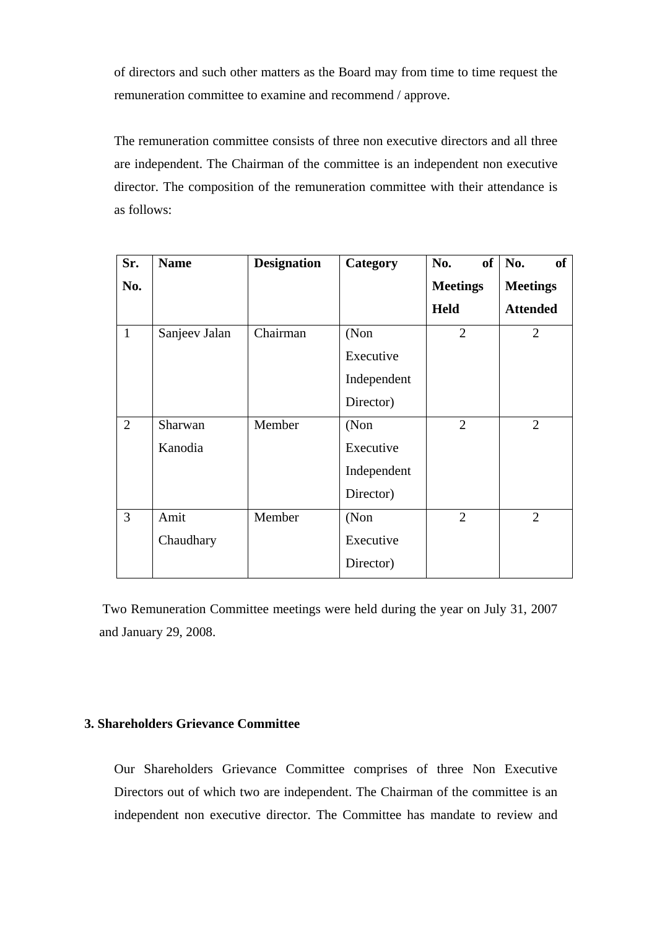of directors and such other matters as the Board may from time to time request the remuneration committee to examine and recommend / approve.

 The remuneration committee consists of three non executive directors and all three are independent. The Chairman of the committee is an independent non executive director. The composition of the remuneration committee with their attendance is as follows:

| Sr.            | <b>Name</b>   | <b>Designation</b> | Category    | No.<br><b>of</b> | No.<br>of       |
|----------------|---------------|--------------------|-------------|------------------|-----------------|
| No.            |               |                    |             | <b>Meetings</b>  | <b>Meetings</b> |
|                |               |                    |             | <b>Held</b>      | <b>Attended</b> |
| $\mathbf{1}$   | Sanjeev Jalan | Chairman           | (Non        | $\overline{2}$   | $\overline{2}$  |
|                |               |                    | Executive   |                  |                 |
|                |               |                    | Independent |                  |                 |
|                |               |                    | Director)   |                  |                 |
| $\overline{2}$ | Sharwan       | Member             | (Non        | $\overline{2}$   | $\overline{2}$  |
|                | Kanodia       |                    | Executive   |                  |                 |
|                |               |                    | Independent |                  |                 |
|                |               |                    | Director)   |                  |                 |
| 3              | Amit          | Member             | (Non        | $\overline{2}$   | $\overline{2}$  |
|                | Chaudhary     |                    | Executive   |                  |                 |
|                |               |                    | Director)   |                  |                 |

 Two Remuneration Committee meetings were held during the year on July 31, 2007 and January 29, 2008.

# **3. Shareholders Grievance Committee**

 Our Shareholders Grievance Committee comprises of three Non Executive Directors out of which two are independent. The Chairman of the committee is an independent non executive director. The Committee has mandate to review and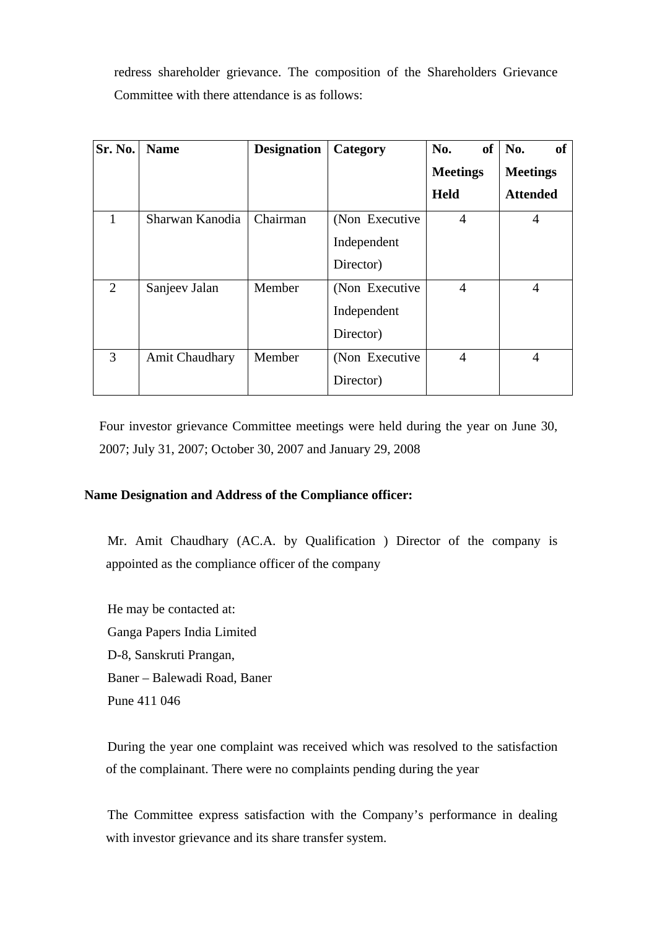redress shareholder grievance. The composition of the Shareholders Grievance Committee with there attendance is as follows:

| Sr. No.        | <b>Name</b>           | <b>Designation</b> | Category        | <b>of</b><br>No. | No.<br><b>of</b> |
|----------------|-----------------------|--------------------|-----------------|------------------|------------------|
|                |                       |                    |                 | <b>Meetings</b>  | <b>Meetings</b>  |
|                |                       |                    |                 | <b>Held</b>      | <b>Attended</b>  |
| 1              | Sharwan Kanodia       | Chairman           | (Non Executive) | $\overline{4}$   | $\overline{4}$   |
|                |                       |                    | Independent     |                  |                  |
|                |                       |                    | Director)       |                  |                  |
| $\overline{2}$ | Sanjeev Jalan         | Member             | (Non Executive) | $\overline{4}$   | $\overline{4}$   |
|                |                       |                    | Independent     |                  |                  |
|                |                       |                    | Director)       |                  |                  |
| 3              | <b>Amit Chaudhary</b> | Member             | (Non Executive) | $\overline{4}$   | $\overline{4}$   |
|                |                       |                    | Director)       |                  |                  |

 Four investor grievance Committee meetings were held during the year on June 30, 2007; July 31, 2007; October 30, 2007 and January 29, 2008

# **Name Designation and Address of the Compliance officer:**

Mr. Amit Chaudhary (AC.A. by Qualification ) Director of the company is appointed as the compliance officer of the company

He may be contacted at: Ganga Papers India Limited D-8, Sanskruti Prangan, Baner – Balewadi Road, Baner Pune 411 046

During the year one complaint was received which was resolved to the satisfaction of the complainant. There were no complaints pending during the year

The Committee express satisfaction with the Company's performance in dealing with investor grievance and its share transfer system.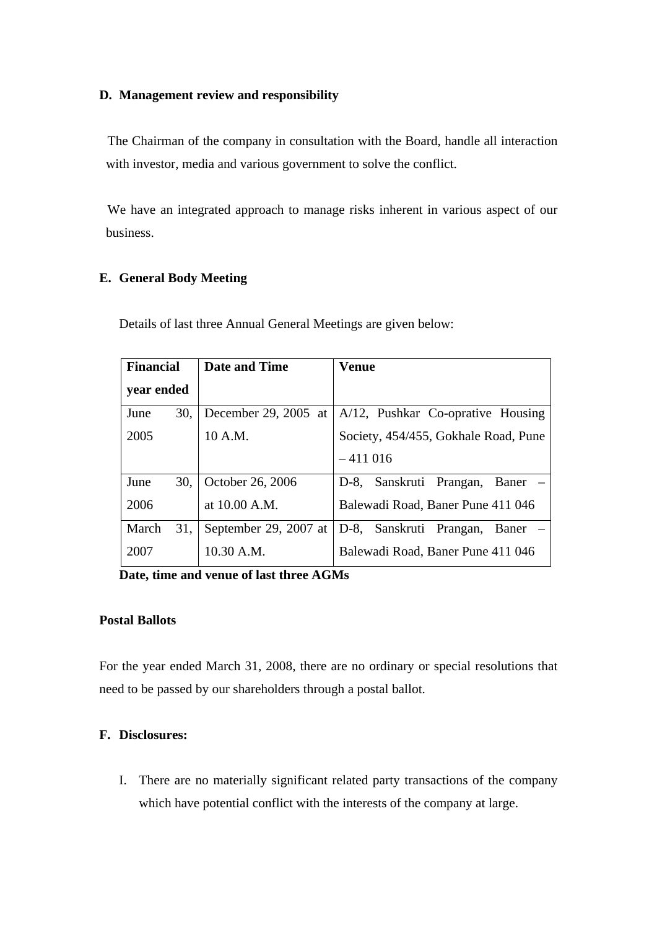# **D. Management review and responsibility**

The Chairman of the company in consultation with the Board, handle all interaction with investor, media and various government to solve the conflict.

We have an integrated approach to manage risks inherent in various aspect of our business.

#### **E. General Body Meeting**

Details of last three Annual General Meetings are given below:

| <b>Financial</b> |     | <b>Date and Time</b>  | <b>Venue</b>                         |
|------------------|-----|-----------------------|--------------------------------------|
| year ended       |     |                       |                                      |
| June             | 30. | December 29, 2005 at  | A/12, Pushkar Co-oprative Housing    |
| 2005             |     | 10 A.M.               | Society, 454/455, Gokhale Road, Pune |
|                  |     |                       | $-411016$                            |
| June             | 30. | October 26, 2006      | D-8, Sanskruti Prangan, Baner –      |
| 2006             |     | at 10.00 A.M.         | Balewadi Road, Baner Pune 411 046    |
| March            | 31. | September 29, 2007 at | D-8, Sanskruti Prangan,<br>Baner     |
| 2007             |     | 10.30 A.M.            | Balewadi Road, Baner Pune 411 046    |

**Date, time and venue of last three AGMs** 

#### **Postal Ballots**

For the year ended March 31, 2008, there are no ordinary or special resolutions that need to be passed by our shareholders through a postal ballot.

#### **F. Disclosures:**

I. There are no materially significant related party transactions of the company which have potential conflict with the interests of the company at large.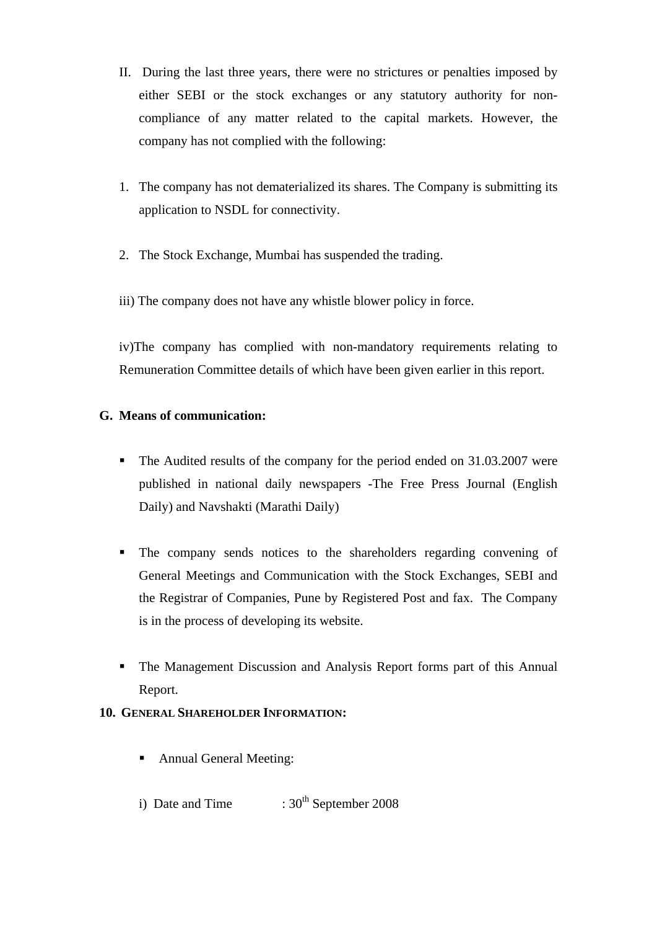- II. During the last three years, there were no strictures or penalties imposed by either SEBI or the stock exchanges or any statutory authority for noncompliance of any matter related to the capital markets. However, the company has not complied with the following:
- 1. The company has not dematerialized its shares. The Company is submitting its application to NSDL for connectivity.
- 2. The Stock Exchange, Mumbai has suspended the trading.
- iii) The company does not have any whistle blower policy in force.

iv)The company has complied with non-mandatory requirements relating to Remuneration Committee details of which have been given earlier in this report.

# **G. Means of communication:**

- The Audited results of the company for the period ended on 31.03.2007 were published in national daily newspapers -The Free Press Journal (English Daily) and Navshakti (Marathi Daily)
- The company sends notices to the shareholders regarding convening of General Meetings and Communication with the Stock Exchanges, SEBI and the Registrar of Companies, Pune by Registered Post and fax. The Company is in the process of developing its website.
- The Management Discussion and Analysis Report forms part of this Annual Report.

# **10. GENERAL SHAREHOLDER INFORMATION:**

- Annual General Meeting:
- i) Date and Time  $:30^{th}$  September 2008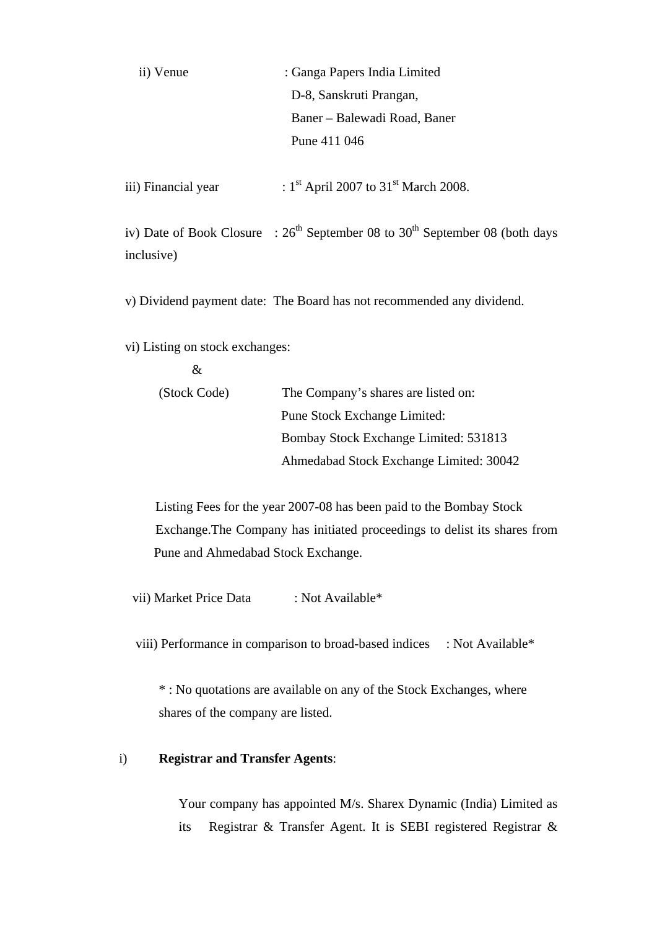| ii) Venue | : Ganga Papers India Limited |  |
|-----------|------------------------------|--|
|           | D-8, Sanskruti Prangan,      |  |
|           | Baner – Balewadi Road, Baner |  |
|           | Pune 411 046                 |  |
|           |                              |  |

iii) Financial year :  $1<sup>st</sup>$  April 2007 to  $31<sup>st</sup>$  March 2008.

iv) Date of Book Closure :  $26<sup>th</sup>$  September 08 to 30<sup>th</sup> September 08 (both days inclusive)

v) Dividend payment date:The Board has not recommended any dividend.

vi) Listing on stock exchanges:

| (Stock Code) | The Company's shares are listed on:     |
|--------------|-----------------------------------------|
|              | <b>Pune Stock Exchange Limited:</b>     |
|              | Bombay Stock Exchange Limited: 531813   |
|              | Ahmedabad Stock Exchange Limited: 30042 |

 Listing Fees for the year 2007-08 has been paid to the Bombay Stock Exchange.The Company has initiated proceedings to delist its shares from Pune and Ahmedabad Stock Exchange.

vii) Market Price Data : Not Available\*

viii) Performance in comparison to broad-based indices: Not Available\*

\* : No quotations are available on any of the Stock Exchanges, where shares of the company are listed.

# i) **Registrar and Transfer Agents**:

 Your company has appointed M/s. Sharex Dynamic (India) Limited as its Registrar & Transfer Agent. It is SEBI registered Registrar &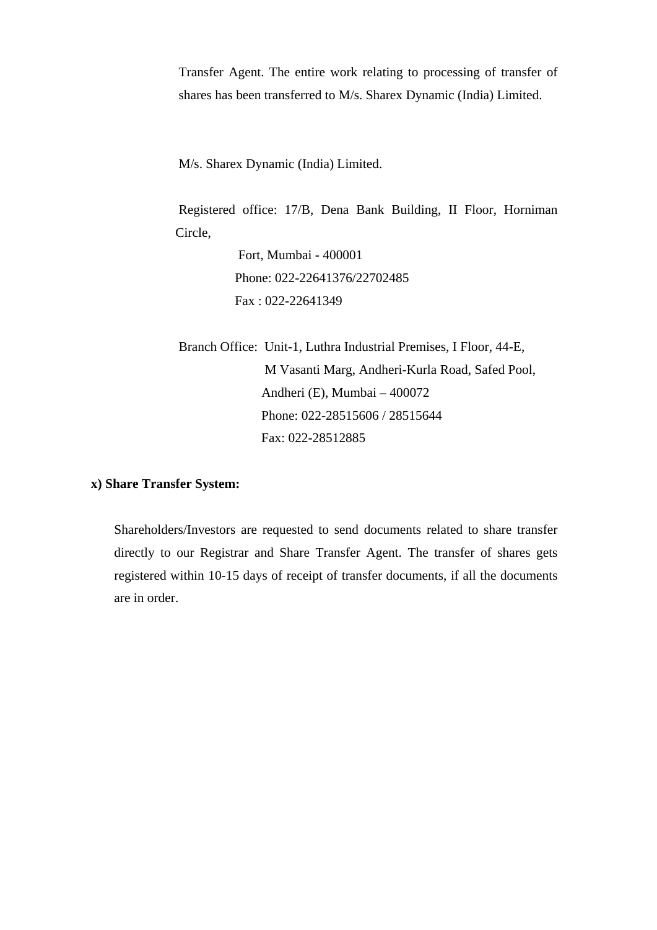Transfer Agent. The entire work relating to processing of transfer of shares has been transferred to M/s. Sharex Dynamic (India) Limited.

M/s. Sharex Dynamic (India) Limited.

Registered office: 17/B, Dena Bank Building, II Floor, Horniman Circle,

> Fort, Mumbai - 400001 Phone: 022-22641376/22702485 Fax : 022-22641349

Branch Office: Unit-1, Luthra Industrial Premises, I Floor, 44-E, M Vasanti Marg, Andheri-Kurla Road, Safed Pool, Andheri (E), Mumbai – 400072 Phone: 022-28515606 / 28515644 Fax: 022-28512885

#### **x) Share Transfer System:**

 Shareholders/Investors are requested to send documents related to share transfer directly to our Registrar and Share Transfer Agent. The transfer of shares gets registered within 10-15 days of receipt of transfer documents, if all the documents are in order.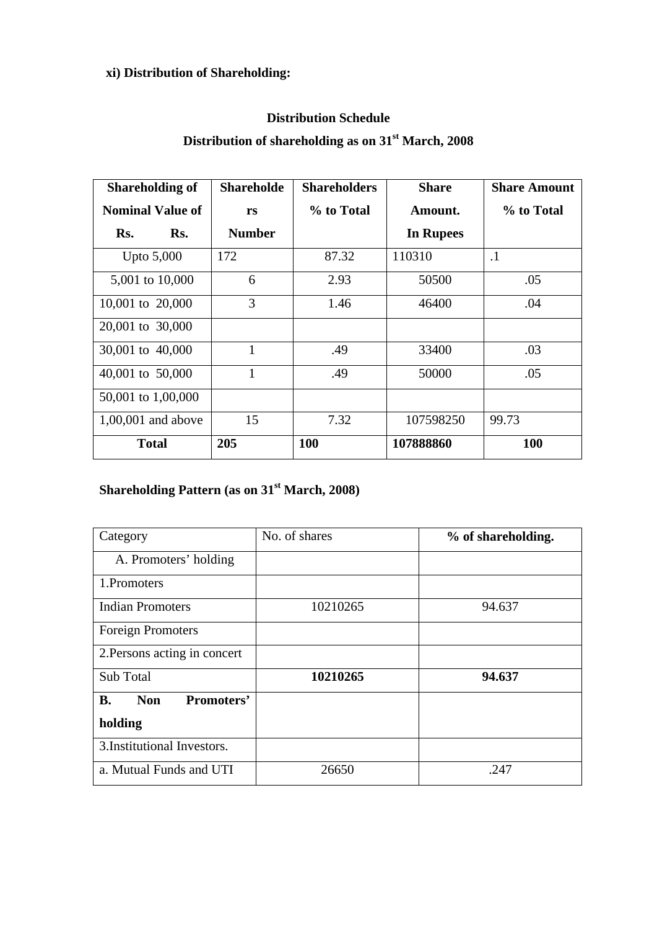# **xi) Distribution of Shareholding:**

# **Distribution Schedule**

# **Distribution of shareholding as on 31st March, 2008**

| <b>Shareholding of</b>  | <b>Shareholde</b> | <b>Shareholders</b> | <b>Share</b> | <b>Share Amount</b> |
|-------------------------|-------------------|---------------------|--------------|---------------------|
| <b>Nominal Value of</b> | rs                | % to Total          | Amount.      | % to Total          |
| Rs.<br>Rs.              | <b>Number</b>     |                     | In Rupees    |                     |
| Upto 5,000              | 172               | 87.32               | 110310       | $\cdot$ 1           |
| 5,001 to 10,000         | 6                 | 2.93                | 50500        | .05                 |
| 10,001 to 20,000        | 3                 | 1.46                | 46400        | .04                 |
| 20,001 to 30,000        |                   |                     |              |                     |
| 30,001 to 40,000        | $\mathbf{1}$      | .49                 | 33400        | .03                 |
| 40,001 to 50,000        | $\mathbf{1}$      | .49                 | 50000        | .05                 |
| 50,001 to 1,00,000      |                   |                     |              |                     |
| 1,00,001 and above      | 15                | 7.32                | 107598250    | 99.73               |
| <b>Total</b>            | 205               | <b>100</b>          | 107888860    | 100                 |

# **Shareholding Pattern (as on 31st March, 2008)**

| Category                              | No. of shares | % of shareholding. |
|---------------------------------------|---------------|--------------------|
| A. Promoters' holding                 |               |                    |
| 1. Promoters                          |               |                    |
| <b>Indian Promoters</b>               | 10210265      | 94.637             |
| <b>Foreign Promoters</b>              |               |                    |
| 2. Persons acting in concert          |               |                    |
| Sub Total                             | 10210265      | 94.637             |
| Promoters'<br><b>Non</b><br><b>B.</b> |               |                    |
| holding                               |               |                    |
| 3. Institutional Investors.           |               |                    |
| a. Mutual Funds and UTI               | 26650         | .247               |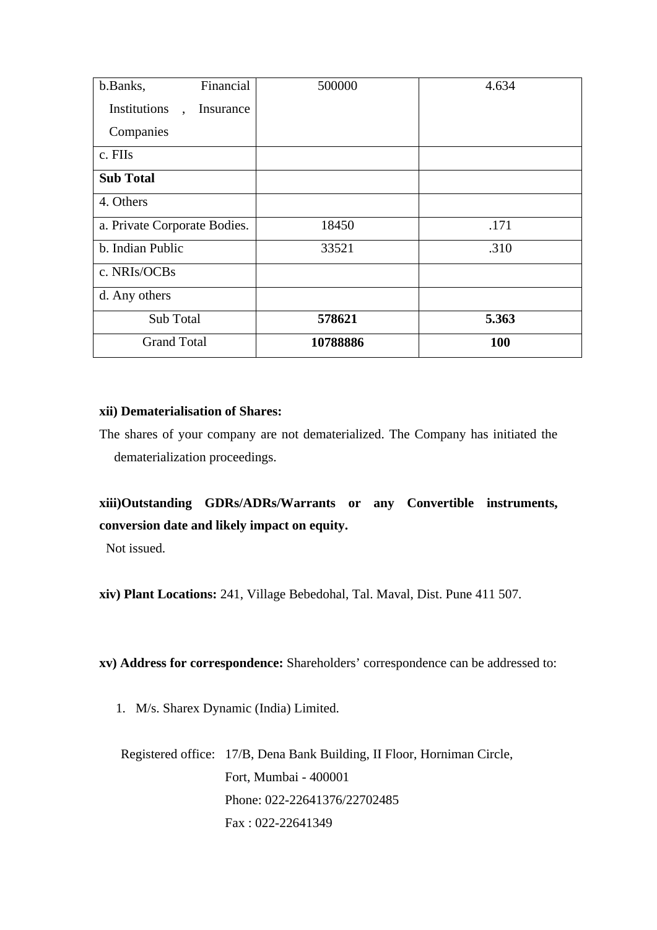| Financial<br>b.Banks,                             | 500000   | 4.634 |
|---------------------------------------------------|----------|-------|
| Institutions<br>Insurance<br>$\ddot{\phantom{a}}$ |          |       |
| Companies                                         |          |       |
| c. FIIs                                           |          |       |
| <b>Sub Total</b>                                  |          |       |
| 4. Others                                         |          |       |
| a. Private Corporate Bodies.                      | 18450    | .171  |
| b. Indian Public                                  | 33521    | .310  |
| c. NRIs/OCBs                                      |          |       |
| d. Any others                                     |          |       |
| Sub Total                                         | 578621   | 5.363 |
| <b>Grand Total</b>                                | 10788886 | 100   |

#### **xii) Dematerialisation of Shares:**

The shares of your company are not dematerialized. The Company has initiated the dematerialization proceedings.

# **xiii)Outstanding GDRs/ADRs/Warrants or any Convertible instruments, conversion date and likely impact on equity.**

Not issued.

**xiv) Plant Locations:** 241, Village Bebedohal, Tal. Maval, Dist. Pune 411 507.

**xv) Address for correspondence:** Shareholders' correspondence can be addressed to:

1. M/s. Sharex Dynamic (India) Limited.

Registered office: 17/B, Dena Bank Building, II Floor, Horniman Circle, Fort, Mumbai - 400001 Phone: 022-22641376/22702485 Fax : 022-22641349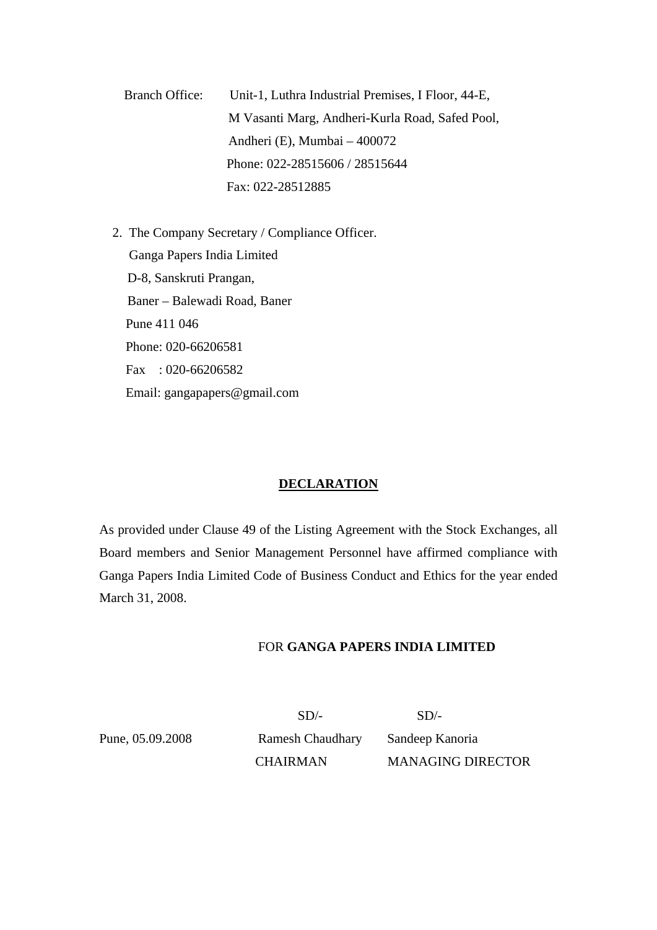Branch Office: Unit-1, Luthra Industrial Premises, I Floor, 44-E, M Vasanti Marg, Andheri-Kurla Road, Safed Pool, Andheri (E), Mumbai – 400072 Phone: 022-28515606 / 28515644 Fax: 022-28512885

 2. The Company Secretary / Compliance Officer. Ganga Papers India Limited D-8, Sanskruti Prangan, Baner – Balewadi Road, Baner Pune 411 046 Phone: 020-66206581 Fax : 020-66206582 Email: gangapapers@gmail.com

#### **DECLARATION**

As provided under Clause 49 of the Listing Agreement with the Stock Exchanges, all Board members and Senior Management Personnel have affirmed compliance with Ganga Papers India Limited Code of Business Conduct and Ethics for the year ended March 31, 2008.

# FOR **GANGA PAPERS INDIA LIMITED**

 $SD/-$  SD/-Pune, 05.09.2008 Ramesh Chaudhary Sandeep Kanoria

CHAIRMAN MANAGING DIRECTOR